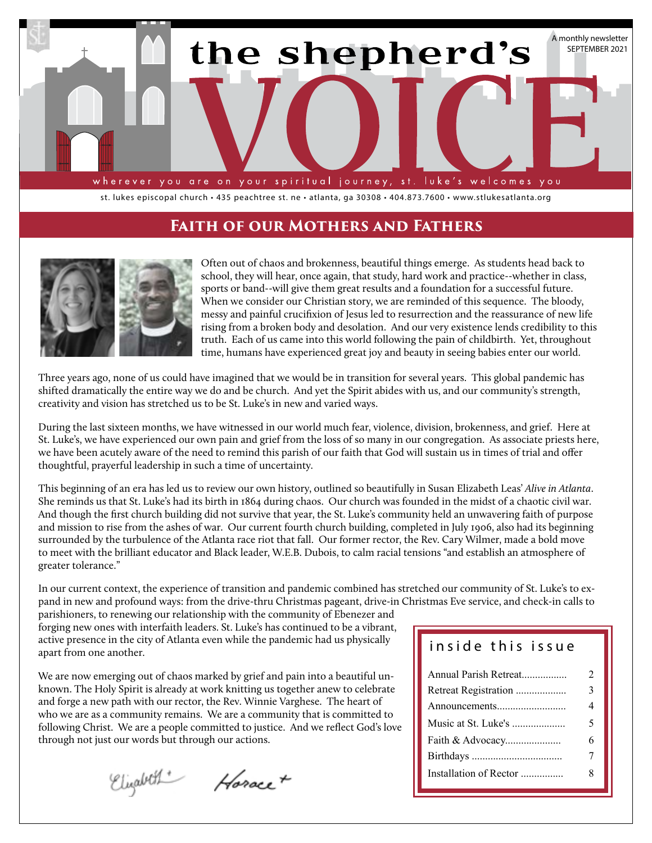

st. lukes episcopal church • 435 peachtree st. ne • atlanta, ga 30308 • 404.873.7600 • www.stlukesatlanta.org

## **Faith of our Mothers and Fathers**



Often out of chaos and brokenness, beautiful things emerge. As students head back to school, they will hear, once again, that study, hard work and practice--whether in class, sports or band--will give them great results and a foundation for a successful future. When we consider our Christian story, we are reminded of this sequence. The bloody, messy and painful crucifixion of Jesus led to resurrection and the reassurance of new life rising from a broken body and desolation. And our very existence lends credibility to this truth. Each of us came into this world following the pain of childbirth. Yet, throughout time, humans have experienced great joy and beauty in seeing babies enter our world.

Three years ago, none of us could have imagined that we would be in transition for several years. This global pandemic has shifted dramatically the entire way we do and be church. And yet the Spirit abides with us, and our community's strength, creativity and vision has stretched us to be St. Luke's in new and varied ways.

During the last sixteen months, we have witnessed in our world much fear, violence, division, brokenness, and grief. Here at St. Luke's, we have experienced our own pain and grief from the loss of so many in our congregation. As associate priests here, we have been acutely aware of the need to remind this parish of our faith that God will sustain us in times of trial and offer thoughtful, prayerful leadership in such a time of uncertainty.

This beginning of an era has led us to review our own history, outlined so beautifully in Susan Elizabeth Leas' *Alive in Atlanta*. She reminds us that St. Luke's had its birth in 1864 during chaos. Our church was founded in the midst of a chaotic civil war. And though the first church building did not survive that year, the St. Luke's community held an unwavering faith of purpose and mission to rise from the ashes of war. Our current fourth church building, completed in July 1906, also had its beginning surrounded by the turbulence of the Atlanta race riot that fall. Our former rector, the Rev. Cary Wilmer, made a bold move to meet with the brilliant educator and Black leader, W.E.B. Dubois, to calm racial tensions "and establish an atmosphere of greater tolerance."

In our current context, the experience of transition and pandemic combined has stretched our community of St. Luke's to expand in new and profound ways: from the drive-thru Christmas pageant, drive-in Christmas Eve service, and check-in calls to

parishioners, to renewing our relationship with the community of Ebenezer and forging new ones with interfaith leaders. St. Luke's has continued to be a vibrant, active presence in the city of Atlanta even while the pandemic had us physically apart from one another.

We are now emerging out of chaos marked by grief and pain into a beautiful unknown. The Holy Spirit is already at work knitting us together anew to celebrate and forge a new path with our rector, the Rev. Winnie Varghese. The heart of who we are as a community remains. We are a community that is committed to following Christ. We are a people committed to justice. And we reflect God's love through not just our words but through our actions.

Elizabeth Horace +

## inside this issue

| Annual Parish Retreat  | $\mathfrak{D}$ |
|------------------------|----------------|
| Retreat Registration   | 3              |
|                        | 4              |
| Music at St. Luke's    | 5              |
| Faith & Advocacy       | 6              |
|                        |                |
| Installation of Rector | 8              |
|                        |                |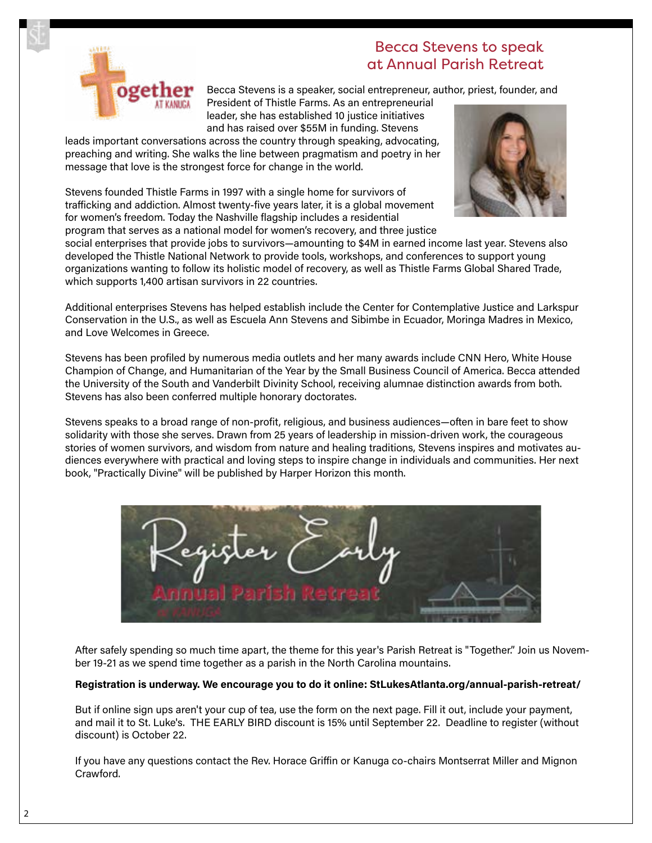

# Becca Stevens to speak at Annual Parish Retreat

Becca Stevens is a speaker, social entrepreneur, author, priest, founder, and

President of Thistle Farms. As an entrepreneurial leader, she has established 10 justice initiatives and has raised over \$55M in funding. Stevens

leads important conversations across the country through speaking, advocating, preaching and writing. She walks the line between pragmatism and poetry in her message that love is the strongest force for change in the world.

Stevens founded Thistle Farms in 1997 with a single home for survivors of trafficking and addiction. Almost twenty-five years later, it is a global movement for women's freedom. Today the Nashville flagship includes a residential program that serves as a national model for women's recovery, and three justice



social enterprises that provide jobs to survivors—amounting to \$4M in earned income last year. Stevens also developed the Thistle National Network to provide tools, workshops, and conferences to support young organizations wanting to follow its holistic model of recovery, as well as Thistle Farms Global Shared Trade, which supports 1,400 artisan survivors in 22 countries.

Additional enterprises Stevens has helped establish include the Center for Contemplative Justice and Larkspur Conservation in the U.S., as well as Escuela Ann Stevens and Sibimbe in Ecuador, Moringa Madres in Mexico, and Love Welcomes in Greece.

Stevens has been profiled by numerous media outlets and her many awards include CNN Hero, White House Champion of Change, and Humanitarian of the Year by the Small Business Council of America. Becca attended the University of the South and Vanderbilt Divinity School, receiving alumnae distinction awards from both. Stevens has also been conferred multiple honorary doctorates.

Stevens speaks to a broad range of non-profit, religious, and business audiences—often in bare feet to show solidarity with those she serves. Drawn from 25 years of leadership in mission-driven work, the courageous stories of women survivors, and wisdom from nature and healing traditions, Stevens inspires and motivates audiences everywhere with practical and loving steps to inspire change in individuals and communities. Her next book, "Practically Divine" will be published by Harper Horizon this month.



After safely spending so much time apart, the theme for this year's Parish Retreat is "Together." Join us November 19-21 as we spend time together as a parish in the North Carolina mountains.

#### **Registration is underway. We encourage you to do it online: StLukesAtlanta.org/annual-parish-retreat/**

But if online sign ups aren't your cup of tea, use the form on the next page. Fill it out, include your payment, and mail it to St. Luke's. THE EARLY BIRD discount is 15% until September 22. Deadline to register (without discount) is October 22.

If you have any questions contact the Rev. Horace Griffin or Kanuga co-chairs Montserrat Miller and Mignon Crawford.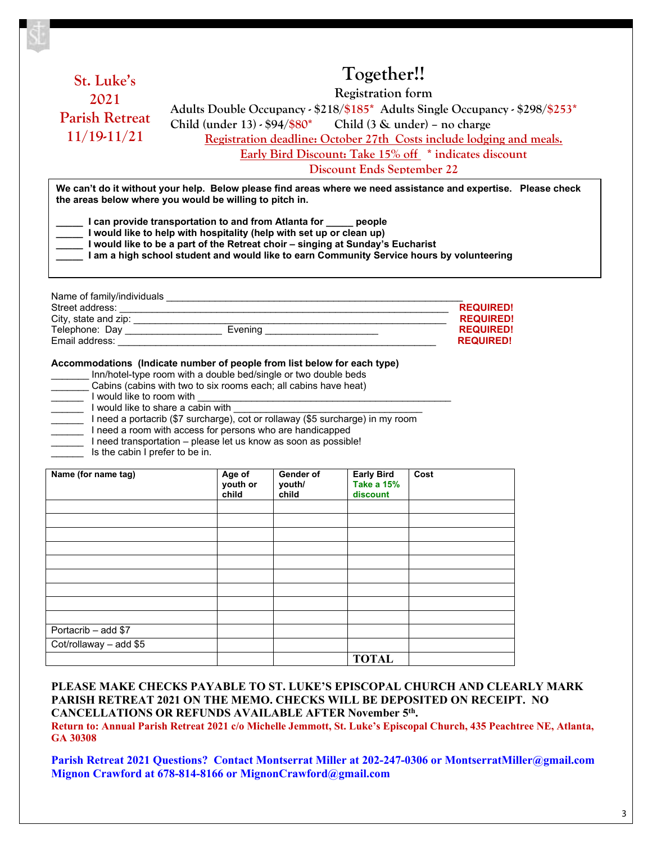|                                                                                                       |                                                                                                                                             |           | Together!!        |      |                  |  |  |
|-------------------------------------------------------------------------------------------------------|---------------------------------------------------------------------------------------------------------------------------------------------|-----------|-------------------|------|------------------|--|--|
|                                                                                                       | St. Luke's<br><b>Registration form</b><br>2021<br>Adults Double Occupancy - \$218/\$185* Adults Single Occupancy - \$298/\$253*             |           |                   |      |                  |  |  |
|                                                                                                       |                                                                                                                                             |           |                   |      |                  |  |  |
| <b>Parish Retreat</b><br>Child (under $13$ ) - $94$ / $80$ <sup>*</sup> Child (3 & under) - no charge |                                                                                                                                             |           |                   |      |                  |  |  |
| $11/19-11/21$                                                                                         | Registration deadline: October 27th Costs include lodging and meals.                                                                        |           |                   |      |                  |  |  |
|                                                                                                       | Early Bird Discount: Take 15% off * indicates discount                                                                                      |           |                   |      |                  |  |  |
|                                                                                                       | <b>Discount Ends September 22</b>                                                                                                           |           |                   |      |                  |  |  |
|                                                                                                       | We can't do it without your help. Below please find areas where we need assistance and expertise. Please check                              |           |                   |      |                  |  |  |
|                                                                                                       | the areas below where you would be willing to pitch in.                                                                                     |           |                   |      |                  |  |  |
|                                                                                                       |                                                                                                                                             |           |                   |      |                  |  |  |
|                                                                                                       | I can provide transportation to and from Atlanta for _____ people                                                                           |           |                   |      |                  |  |  |
|                                                                                                       | I would like to help with hospitality (help with set up or clean up)                                                                        |           |                   |      |                  |  |  |
|                                                                                                       | I would like to be a part of the Retreat choir - singing at Sunday's Eucharist                                                              |           |                   |      |                  |  |  |
|                                                                                                       | I am a high school student and would like to earn Community Service hours by volunteering                                                   |           |                   |      |                  |  |  |
|                                                                                                       |                                                                                                                                             |           |                   |      |                  |  |  |
|                                                                                                       |                                                                                                                                             |           |                   |      |                  |  |  |
|                                                                                                       |                                                                                                                                             |           |                   |      |                  |  |  |
|                                                                                                       |                                                                                                                                             |           |                   |      |                  |  |  |
|                                                                                                       |                                                                                                                                             |           |                   |      | <b>REQUIRED!</b> |  |  |
| City, state and zip:<br>Telephone: Day<br>Telephone: Day<br><b>REQUIRED!</b>                          |                                                                                                                                             |           |                   |      |                  |  |  |
| <b>REQUIRED!</b><br><b>REQUIRED!</b>                                                                  |                                                                                                                                             |           |                   |      |                  |  |  |
|                                                                                                       |                                                                                                                                             |           |                   |      |                  |  |  |
|                                                                                                       |                                                                                                                                             |           |                   |      |                  |  |  |
|                                                                                                       |                                                                                                                                             |           |                   |      |                  |  |  |
|                                                                                                       | Accommodations (Indicate number of people from list below for each type)<br>Inn/hotel-type room with a double bed/single or two double beds |           |                   |      |                  |  |  |
|                                                                                                       | Cabins (cabins with two to six rooms each; all cabins have heat)                                                                            |           |                   |      |                  |  |  |
|                                                                                                       |                                                                                                                                             |           |                   |      |                  |  |  |
|                                                                                                       |                                                                                                                                             |           |                   |      |                  |  |  |
|                                                                                                       | Ineed a portacrib (\$7 surcharge), cot or rollaway (\$5 surcharge) in my room                                                               |           |                   |      |                  |  |  |
|                                                                                                       | I need a room with access for persons who are handicapped                                                                                   |           |                   |      |                  |  |  |
|                                                                                                       | I need transportation - please let us know as soon as possible!                                                                             |           |                   |      |                  |  |  |
| Is the cabin I prefer to be in.                                                                       |                                                                                                                                             |           |                   |      |                  |  |  |
|                                                                                                       | Age of                                                                                                                                      | Gender of | <b>Early Bird</b> | Cost |                  |  |  |
|                                                                                                       | youth or                                                                                                                                    | vouth/    | <b>Take a 15%</b> |      |                  |  |  |
|                                                                                                       | child                                                                                                                                       | child     | discount          |      |                  |  |  |
|                                                                                                       |                                                                                                                                             |           |                   |      |                  |  |  |
|                                                                                                       |                                                                                                                                             |           |                   |      |                  |  |  |
|                                                                                                       |                                                                                                                                             |           |                   |      |                  |  |  |
|                                                                                                       |                                                                                                                                             |           |                   |      |                  |  |  |
| I would like to room with<br>I would like to share a cabin with<br>Name (for name tag)                |                                                                                                                                             |           |                   |      |                  |  |  |
|                                                                                                       |                                                                                                                                             |           |                   |      |                  |  |  |
|                                                                                                       |                                                                                                                                             |           |                   |      |                  |  |  |
|                                                                                                       |                                                                                                                                             |           |                   |      |                  |  |  |
|                                                                                                       |                                                                                                                                             |           |                   |      |                  |  |  |

**PLEASE MAKE CHECKS PAYABLE TO ST. LUKE'S EPISCOPAL CHURCH AND CLEARLY MARK PARISH RETREAT 2021 ON THE MEMO. CHECKS WILL BE DEPOSITED ON RECEIPT. NO CANCELLATIONS OR REFUNDS AVAILABLE AFTER November 5th.** 

**TOTAL**

Cot/rollaway – add \$5

**Return to: Annual Parish Retreat 2021 c/o Michelle Jemmott, St. Luke's Episcopal Church, 435 Peachtree NE, Atlanta, GA 30308**

**Parish Retreat 2021 Questions? Contact Montserrat Miller at 202-247-0306 or MontserratMiller@gmail.com Mignon Crawford at 678-814-8166 or MignonCrawford@gmail.com**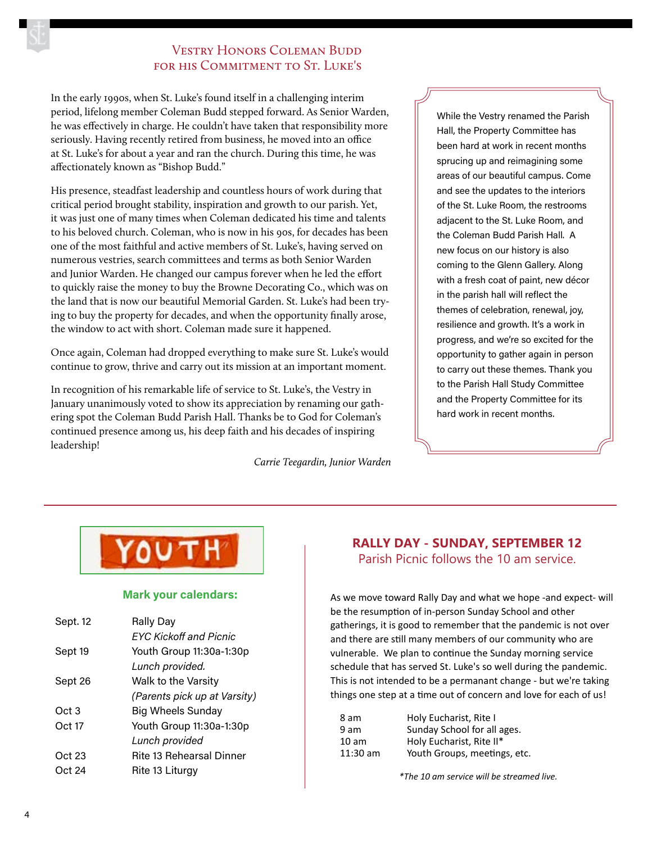## **VESTRY HONORS COLEMAN BUDD** FOR HIS COMMITMENT TO ST. LUKE'S

In the early 1990s, when St. Luke's found itself in a challenging interim period, lifelong member Coleman Budd stepped forward. As Senior Warden, he was effectively in charge. He couldn't have taken that responsibility more seriously. Having recently retired from business, he moved into an office at St. Luke's for about a year and ran the church. During this time, he was affectionately known as "Bishop Budd."

His presence, steadfast leadership and countless hours of work during that critical period brought stability, inspiration and growth to our parish. Yet, it was just one of many times when Coleman dedicated his time and talents to his beloved church. Coleman, who is now in his 90s, for decades has been one of the most faithful and active members of St. Luke's, having served on numerous vestries, search committees and terms as both Senior Warden and Junior Warden. He changed our campus forever when he led the effort to quickly raise the money to buy the Browne Decorating Co., which was on the land that is now our beautiful Memorial Garden. St. Luke's had been trying to buy the property for decades, and when the opportunity finally arose, the window to act with short. Coleman made sure it happened.

Once again, Coleman had dropped everything to make sure St. Luke's would continue to grow, thrive and carry out its mission at an important moment.

In recognition of his remarkable life of service to St. Luke's, the Vestry in January unanimously voted to show its appreciation by renaming our gathering spot the Coleman Budd Parish Hall. Thanks be to God for Coleman's continued presence among us, his deep faith and his decades of inspiring leadership!

*Carrie Teegardin, Junior Warden*

While the Vestry renamed the Parish Hall, the Property Committee has been hard at work in recent months sprucing up and reimagining some areas of our beautiful campus. Come and see the updates to the interiors of the St. Luke Room, the restrooms adjacent to the St. Luke Room, and the Coleman Budd Parish Hall. A new focus on our history is also coming to the Glenn Gallery. Along with a fresh coat of paint, new décor in the parish hall will reflect the themes of celebration, renewal, joy, resilience and growth. It's a work in progress, and we're so excited for the opportunity to gather again in person to carry out these themes. Thank you to the Parish Hall Study Committee and the Property Committee for its hard work in recent months.



#### **Mark your calendars:**

| Sept. 12 | <b>Rally Day</b>                |
|----------|---------------------------------|
|          | <b>FYC Kickoff and Picnic</b>   |
| Sept 19  | Youth Group 11:30a-1:30p        |
|          | Lunch provided.                 |
| Sept 26  | Walk to the Varsity             |
|          | (Parents pick up at Varsity)    |
| Oct 3    | <b>Big Wheels Sunday</b>        |
| Oct 17   | Youth Group 11:30a-1:30p        |
|          | Lunch provided                  |
| Oct 23   | <b>Rite 13 Rehearsal Dinner</b> |
| Oct 24   | Rite 13 Liturgy                 |

### **RALLY DAY - SUNDAY, SEPTEMBER 12** Parish Picnic follows the 10 am service.

As we move toward Rally Day and what we hope -and expect- will be the resumption of in-person Sunday School and other gatherings, it is good to remember that the pandemic is not over and there are still many members of our community who are vulnerable. We plan to continue the Sunday morning service schedule that has served St. Luke's so well during the pandemic. This is not intended to be a permanant change - but we're taking things one step at a time out of concern and love for each of us!

| 8 am     | Holy Eucharist, Rite I       |
|----------|------------------------------|
| 9 am     | Sunday School for all ages.  |
| 10 am    | Holy Eucharist, Rite II*     |
| 11:30 am | Youth Groups, meetings, etc. |

*\*The 10 am service will be streamed live.*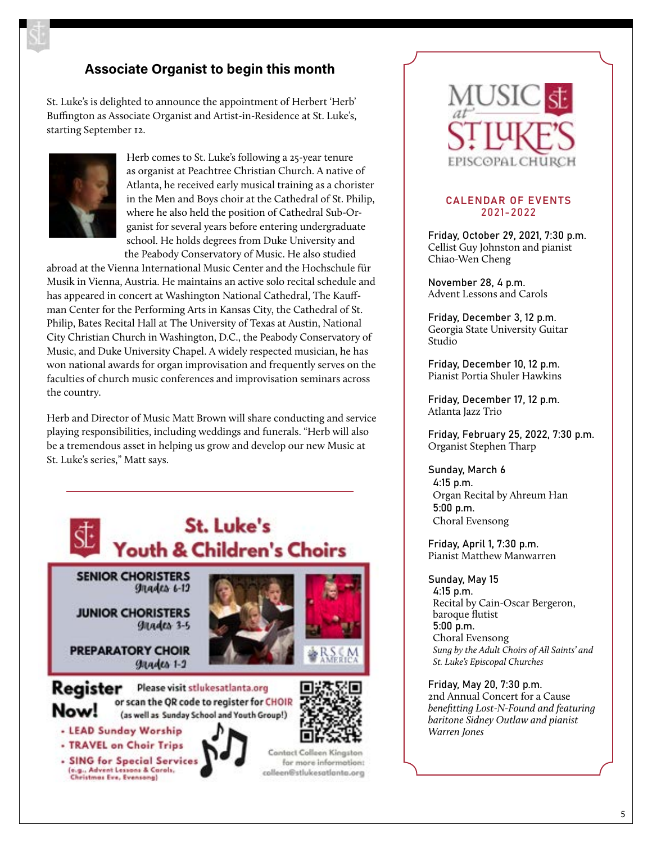# **Associate Organist to begin this month**

St. Luke's is delighted to announce the appointment of Herbert 'Herb' Buffington as Associate Organist and Artist-in-Residence at St. Luke's, starting September 12.



Herb comes to St. Luke's following a 25-year tenure as organist at Peachtree Christian Church. A native of Atlanta, he received early musical training as a chorister in the Men and Boys choir at the Cathedral of St. Philip, where he also held the position of Cathedral Sub-Organist for several years before entering undergraduate school. He holds degrees from Duke University and the Peabody Conservatory of Music. He also studied

abroad at the Vienna International Music Center and the Hochschule für Musik in Vienna, Austria. He maintains an active solo recital schedule and has appeared in concert at Washington National Cathedral, The Kauffman Center for the Performing Arts in Kansas City, the Cathedral of St. Philip, Bates Recital Hall at The University of Texas at Austin, National City Christian Church in Washington, D.C., the Peabody Conservatory of Music, and Duke University Chapel. A widely respected musician, he has won national awards for organ improvisation and frequently serves on the faculties of church music conferences and improvisation seminars across the country.

Herb and Director of Music Matt Brown will share conducting and service playing responsibilities, including weddings and funerals. "Herb will also be a tremendous asset in helping us grow and develop our new Music at St. Luke's series," Matt says.





#### CALENDAR OF EVENTS 2021-2022

Friday, October 29, 2021, 7:30 p.m. Cellist Guy Johnston and pianist Chiao-Wen Cheng

November 28, 4 p.m. Advent Lessons and Carols

Friday, December 3, 12 p.m. Georgia State University Guitar Studio

Friday, December 10, 12 p.m. Pianist Portia Shuler Hawkins

Friday, December 17, 12 p.m. Atlanta Jazz Trio

Friday, February 25, 2022, 7:30 p.m. Organist Stephen Tharp

Sunday, March 6 4:15 p.m. Organ Recital by Ahreum Han 5:00 p.m. Choral Evensong

Friday, April 1, 7:30 p.m. Pianist Matthew Manwarren

Sunday, May 15 4:15 p.m. Recital by Cain-Oscar Bergeron, baroque flutist 5:00 p.m. Choral Evensong *Sung by the Adult Choirs of All Saints' and St. Luke's Episcopal Churches*

Friday, May 20, 7:30 p.m. 2nd Annual Concert for a Cause *benefitting Lost-N-Found and featuring baritone Sidney Outlaw and pianist Warren Jones*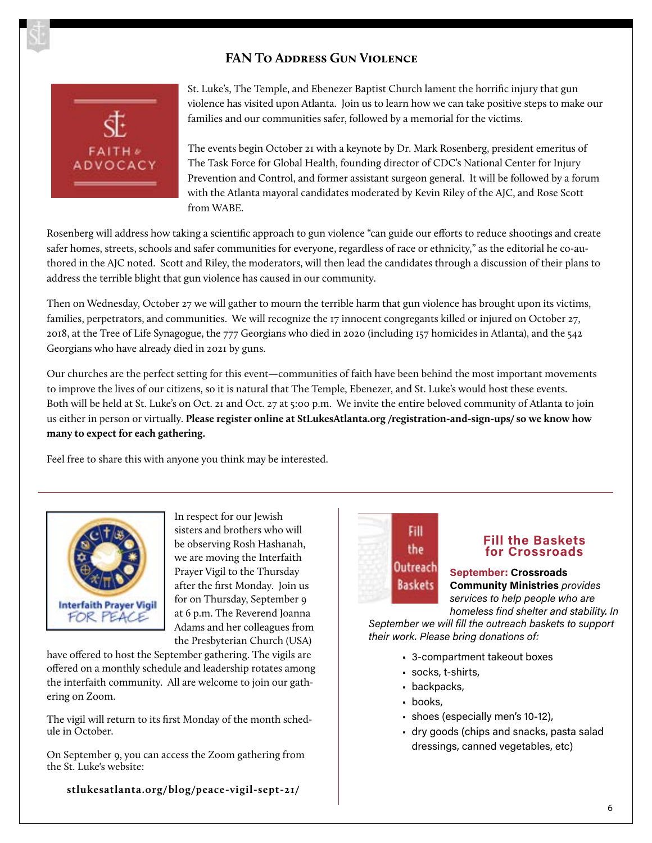## **FAN To Address Gun Violence**



St. Luke's, The Temple, and Ebenezer Baptist Church lament the horrific injury that gun violence has visited upon Atlanta. Join us to learn how we can take positive steps to make our families and our communities safer, followed by a memorial for the victims.

The events begin October 21 with a keynote by Dr. Mark Rosenberg, president emeritus of The Task Force for Global Health, founding director of CDC's National Center for Injury Prevention and Control, and former assistant surgeon general. It will be followed by a forum with the Atlanta mayoral candidates moderated by Kevin Riley of the AJC, and Rose Scott from WABE.

Rosenberg will address how taking a scientific approach to gun violence "can guide our efforts to reduce shootings and create safer homes, streets, schools and safer communities for everyone, regardless of race or ethnicity," as the editorial he co-authored in the AJC noted. Scott and Riley, the moderators, will then lead the candidates through a discussion of their plans to address the terrible blight that gun violence has caused in our community.

Then on Wednesday, October 27 we will gather to mourn the terrible harm that gun violence has brought upon its victims, families, perpetrators, and communities. We will recognize the 17 innocent congregants killed or injured on October 27, 2018, at the Tree of Life Synagogue, the 777 Georgians who died in 2020 (including 157 homicides in Atlanta), and the 542 Georgians who have already died in 2021 by guns.

Our churches are the perfect setting for this event—communities of faith have been behind the most important movements to improve the lives of our citizens, so it is natural that The Temple, Ebenezer, and St. Luke's would host these events. Both will be held at St. Luke's on Oct. 21 and Oct. 27 at 5:00 p.m. We invite the entire beloved community of Atlanta to join us either in person or virtually. **Please register online at StLukesAtlanta.org /registration-and-sign-ups/ so we know how many to expect for each gathering.** 

Feel free to share this with anyone you think may be interested.



In respect for our Jewish sisters and brothers who will be observing Rosh Hashanah, we are moving the Interfaith Prayer Vigil to the Thursday after the first Monday. Join us for on Thursday, September 9 at 6 p.m. The Reverend Joanna Adams and her colleagues from the Presbyterian Church (USA)

have offered to host the September gathering. The vigils are offered on a monthly schedule and leadership rotates among the interfaith community. All are welcome to join our gathering on Zoom.

The vigil will return to its first Monday of the month schedule in October.

On September 9, you can access the Zoom gathering from the St. Luke's website:

**stlukesatlanta.org/blog/peace-vigil-sept-21/**

# Fill the Outreach **Baskets**

#### **Fill the Baskets for Crossroads**

**September: Crossroads Community Ministries** *provides services to help people who are homeless find shelter and stability. In* 

*September we will fill the outreach baskets to support their work. Please bring donations of:*

- 3-compartment takeout boxes
- socks, t-shirts,
- backpacks,
- books,
- shoes (especially men's 10-12),
- dry goods (chips and snacks, pasta salad dressings, canned vegetables, etc)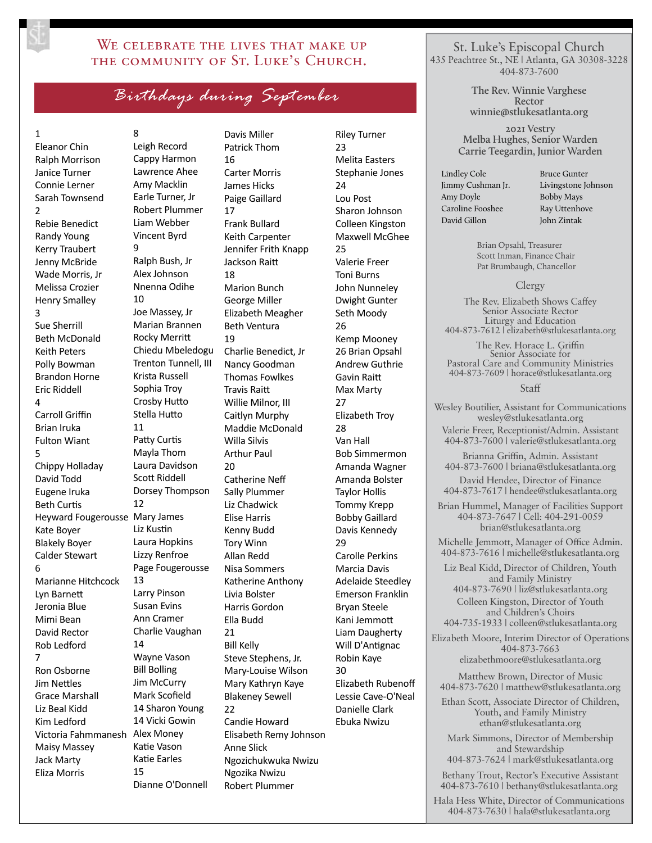## WE CELEBRATE THE LIVES THAT MAKE UP the community of St. Luke's Church.

*Birthdays during September*

#### 1

Eleanor Chin Ralph Morrison Janice Turner Connie Lerner Sarah Townsend 2 Rebie Benedict Randy Young Kerry Traubert Jenny McBride Wade Morris, Jr Melissa Crozier Henry Smalley 3 Sue Sherrill Beth McDonald Keith Peters Polly Bowman Brandon Horne Eric Riddell  $\Delta$ Carroll Griffin Brian Iruka Fulton Wiant 5 Chippy Holladay David Todd Eugene Iruka Beth Curtis Heyward Fougerousse Mary James Kate Boyer Blakely Boyer Calder Stewart 6 Marianne Hitchcock Lyn Barnett Jeronia Blue Mimi Bean David Rector Rob Ledford 7 Ron Osborne Jim Nettles Grace Marshall Liz Beal Kidd Kim Ledford Victoria Fahmmanesh Alex Money Maisy Massey Jack Marty Eliza Morris

8 Leigh Record Cappy Harmon Lawrence Ahee Amy Macklin Earle Turner, Jr Robert Plummer Liam Webber Vincent Byrd 9 Ralph Bush, Jr Alex Johnson Nnenna Odihe 10 Joe Massey, Jr Marian Brannen Rocky Merritt Chiedu Mbeledogu Trenton Tunnell, III Krista Russell Sophia Troy Crosby Hutto Stella Hutto 11 Patty Curtis Mayla Thom Laura Davidson Scott Riddell Dorsey Thompson 12 Liz Kustin Laura Hopkins Lizzy Renfroe Page Fougerousse 13 Larry Pinson Susan Evins Ann Cramer Charlie Vaughan 14 Wayne Vason Bill Bolling Jim McCurry Mark Scofield 14 Sharon Young 14 Vicki Gowin Katie Vason Katie Earles 15 Dianne O'Donnell

Davis Miller Patrick Thom 16 Carter Morris James Hicks Paige Gaillard 17 Frank Bullard Keith Carpenter Jennifer Frith Knapp Jackson Raitt 18 Marion Bunch George Miller Elizabeth Meagher Beth Ventura 19 Charlie Benedict, Jr Nancy Goodman Thomas Fowlkes Travis Raitt Willie Milnor, III Caitlyn Murphy Maddie McDonald Willa Silvis Arthur Paul 20 Catherine Neff Sally Plummer Liz Chadwick Elise Harris Kenny Budd Tory Winn Allan Redd Nisa Sommers Katherine Anthony Livia Bolster Harris Gordon Ella Budd 21 Bill Kelly Steve Stephens, Jr. Mary-Louise Wilson Mary Kathryn Kaye Blakeney Sewell  $22$ Candie Howard Elisabeth Remy Johnson Anne Slick Ngozichukwuka Nwizu Ngozika Nwizu Robert Plummer

Riley Turner  $23$ Melita Easters Stephanie Jones 24 Lou Post Sharon Johnson Colleen Kingston Maxwell McGhee 25 Valerie Freer Toni Burns John Nunneley Dwight Gunter Seth Moody 26 Kemp Mooney 26 Brian Opsahl Andrew Guthrie Gavin Raitt Max Marty 27 Elizabeth Troy 28 Van Hall Bob Simmermon Amanda Wagner Amanda Bolster Taylor Hollis Tommy Krepp Bobby Gaillard Davis Kennedy 29 Carolle Perkins Marcia Davis Adelaide Steedley Emerson Franklin Bryan Steele Kani Jemmott Liam Daugherty Will D'Antignac Robin Kaye 30 Elizabeth Rubenoff Lessie Cave-O'Neal Danielle Clark Ebuka Nwizu

St. Luke's Episcopal Church 435 Peachtree St., NE | Atlanta, GA 30308-3228 404-873-7600

> **The Rev. Winnie Varghese Rector winnie@stlukesatlanta.org**

**2021 Vestry Melba Hughes, Senior Warden Carrie Teegardin, Junior Warden**

Lindley Cole Jimmy Cushman Jr. Amy Doyle Caroline Fooshee David Gillon

Bruce Gunter Livingstone Johnson Bobby Mays Ray Uttenhove John Zintak

Brian Opsahl, Treasurer Scott Inman, Finance Chair Pat Brumbaugh, Chancellor

#### Clergy

The Rev. Elizabeth Shows Caffey Senior Associate Rector Liturgy and Education 404-873-7612 | elizabeth@stlukesatlanta.org

The Rev. Horace L. Griffin Senior Associate for Pastoral Care and Community Ministries 404-873-7609 | horace@stlukesatlanta.org

#### Staff

Wesley Boutilier, Assistant for Communications wesley@stlukesatlanta.org Valerie Freer, Receptionist/Admin. Assistant 404-873-7600 | valerie@stlukesatlanta.org

Brianna Griffin, Admin. Assistant 404-873-7600 | briana@stlukesatlanta.org

David Hendee, Director of Finance 404-873-7617 | hendee@stlukesatlanta.org

Brian Hummel, Manager of Facilities Support 404-873-7647 | Cell: 404-291-0059 brian@stlukesatlanta.org

Michelle Jemmott, Manager of Office Admin. 404-873-7616 | michelle@stlukesatlanta.org

Liz Beal Kidd, Director of Children, Youth and Family Ministry 404-873-7690 | liz@stlukesatlanta.org Colleen Kingston, Director of Youth and Children's Choirs 404-735-1933 | colleen@stlukesatlanta.org

Elizabeth Moore, Interim Director of Operations 404-873-7663 elizabethmoore@stlukesatlanta.org

Matthew Brown, Director of Music 404-873-7620 | matthew@stlukesatlanta.org

Ethan Scott, Associate Director of Children, Youth, and Family Ministry ethan@stlukesatlanta.org

Mark Simmons, Director of Membership and Stewardship 404-873-7624 | mark@stlukesatlanta.org

Bethany Trout, Rector's Executive Assistant 404-873-7610 | bethany@stlukesatlanta.org

Hala Hess White, Director of Communications 404-873-7630 | hala@stlukesatlanta.org